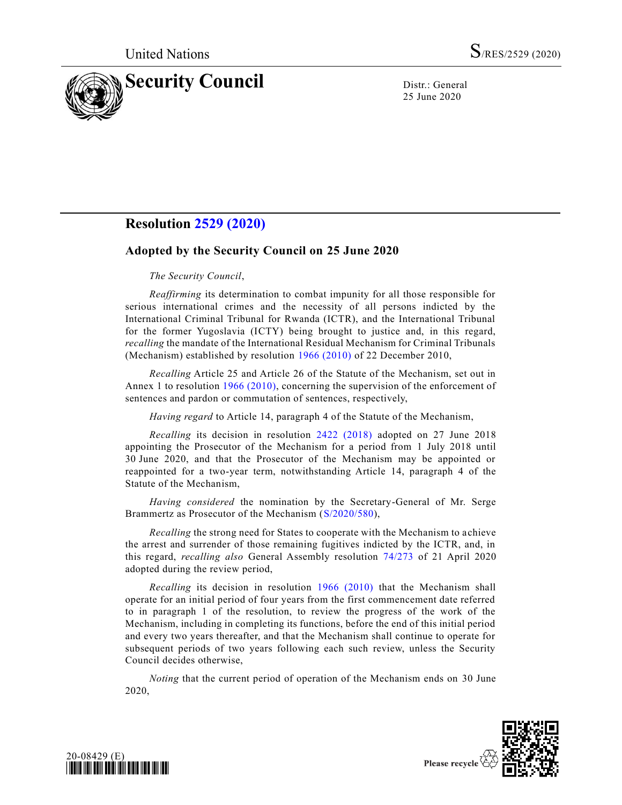

25 June 2020

## **Resolution [2529 \(2020\)](https://undocs.org/en/S/RES/2529(2020))**

## **Adopted by the Security Council on 25 June 2020**

## *The Security Council*,

*Reaffirming* its determination to combat impunity for all those responsible for serious international crimes and the necessity of all persons indicted by the International Criminal Tribunal for Rwanda (ICTR), and the International Tribunal for the former Yugoslavia (ICTY) being brought to justice and, in this regard, *recalling* the mandate of the International Residual Mechanism for Criminal Tribunals (Mechanism) established by resolution [1966 \(2010\)](https://undocs.org/en/S/RES/1966(2010)) of 22 December 2010,

*Recalling* Article 25 and Article 26 of the Statute of the Mechanism, set out in Annex 1 to resolution [1966 \(2010\),](https://undocs.org/en/S/RES/1966(2010)) concerning the supervision of the enforcement of sentences and pardon or commutation of sentences, respectively,

*Having regard* to Article 14, paragraph 4 of the Statute of the Mechanism,

*Recalling* its decision in resolution [2422 \(2018\)](https://undocs.org/en/S/RES/2422(2018)) adopted on 27 June 2018 appointing the Prosecutor of the Mechanism for a period from 1 July 2018 until 30 June 2020, and that the Prosecutor of the Mechanism may be appointed or reappointed for a two-year term, notwithstanding Article 14, paragraph 4 of the Statute of the Mechanism,

*Having considered* the nomination by the Secretary-General of Mr. Serge Brammertz as Prosecutor of the Mechanism [\(S/2020/580\)](https://undocs.org/en/S/2020/580),

*Recalling* the strong need for States to cooperate with the Mechanism to achieve the arrest and surrender of those remaining fugitives indicted by the ICTR, and, in this regard, *recalling also* General Assembly resolution [74/273](https://undocs.org/en/A/RES/74/273) of 21 April 2020 adopted during the review period,

*Recalling* its decision in resolution [1966 \(2010\)](https://undocs.org/en/S/RES/1966(2010)) that the Mechanism shall operate for an initial period of four years from the first commencement date referred to in paragraph 1 of the resolution, to review the progress of the work of the Mechanism, including in completing its functions, before the end of this initial period and every two years thereafter, and that the Mechanism shall continue to operate for subsequent periods of two years following each such review, unless the Security Council decides otherwise,

*Noting* that the current period of operation of the Mechanism ends on 30 June 2020,



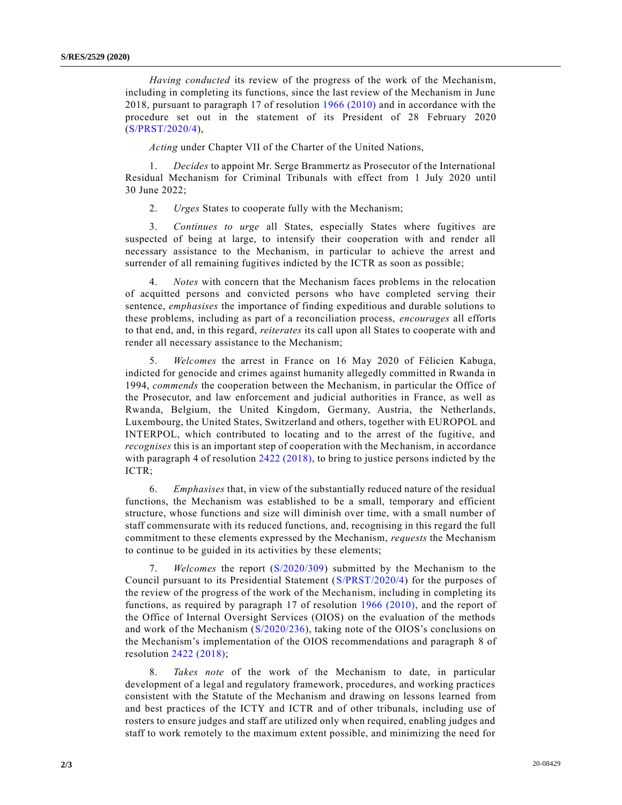*Having conducted* its review of the progress of the work of the Mechanism, including in completing its functions, since the last review of the Mechanism in June 2018, pursuant to paragraph 17 of resolution [1966 \(2010\)](https://undocs.org/en/S/RES/1966(2010)) and in accordance with the procedure set out in the statement of its President of 28 February 2020 [\(S/PRST/2020/4\)](https://undocs.org/en/S/PRST/2020/4),

*Acting* under Chapter VII of the Charter of the United Nations,

1. *Decides* to appoint Mr. Serge Brammertz as Prosecutor of the International Residual Mechanism for Criminal Tribunals with effect from 1 July 2020 until 30 June 2022;

2. *Urges* States to cooperate fully with the Mechanism;

3. *Continues to urge* all States, especially States where fugitives are suspected of being at large, to intensify their cooperation with and render all necessary assistance to the Mechanism, in particular to achieve the arrest and surrender of all remaining fugitives indicted by the ICTR as soon as possible;

4. *Notes* with concern that the Mechanism faces problems in the relocation of acquitted persons and convicted persons who have completed serving their sentence, *emphasises* the importance of finding expeditious and durable solutions to these problems, including as part of a reconciliation process, *encourages* all efforts to that end, and, in this regard, *reiterates* its call upon all States to cooperate with and render all necessary assistance to the Mechanism;

5. *Welcomes* the arrest in France on 16 May 2020 of Félicien Kabuga, indicted for genocide and crimes against humanity allegedly committed in Rwanda in 1994, *commends* the cooperation between the Mechanism, in particular the Office of the Prosecutor, and law enforcement and judicial authorities in France, as well as Rwanda, Belgium, the United Kingdom, Germany, Austria, the Netherlands, Luxembourg, the United States, Switzerland and others, together with EUROPOL and INTERPOL, which contributed to locating and to the arrest of the fugitive, and *recognises* this is an important step of cooperation with the Mechanism, in accordance with paragraph 4 of resolution [2422 \(2018\),](https://undocs.org/en/S/RES/2422(2018)) to bring to justice persons indicted by the ICTR;

6. *Emphasises* that, in view of the substantially reduced nature of the residual functions, the Mechanism was established to be a small, temporary and efficient structure, whose functions and size will diminish over time, with a small number of staff commensurate with its reduced functions, and, recognising in this regard the full commitment to these elements expressed by the Mechanism, *requests* the Mechanism to continue to be guided in its activities by these elements;

7. *Welcomes* the report [\(S/2020/309\)](https://undocs.org/en/S/2020/309) submitted by the Mechanism to the Council pursuant to its Presidential Statement [\(S/PRST/2020/4\)](https://undocs.org/en/S/PRST/2020/4) for the purposes of the review of the progress of the work of the Mechanism, including in completing its functions, as required by paragraph 17 of resolution [1966 \(2010\),](https://undocs.org/en/S/RES/1966(2010)) and the report of the Office of Internal Oversight Services (OIOS) on the evaluation of the methods and work of the Mechanism [\(S/2020/236\)](https://undocs.org/en/S/2020/236), taking note of the OIOS's conclusions on the Mechanism's implementation of the OIOS recommendations and paragraph 8 of resolution [2422 \(2018\);](https://undocs.org/en/S/RES/2422(2018))

8. *Takes note* of the work of the Mechanism to date, in particular development of a legal and regulatory framework, procedures, and working practices consistent with the Statute of the Mechanism and drawing on lessons learned from and best practices of the ICTY and ICTR and of other tribunals, including use of rosters to ensure judges and staff are utilized only when required, enabling judges and staff to work remotely to the maximum extent possible, and minimizing the need for